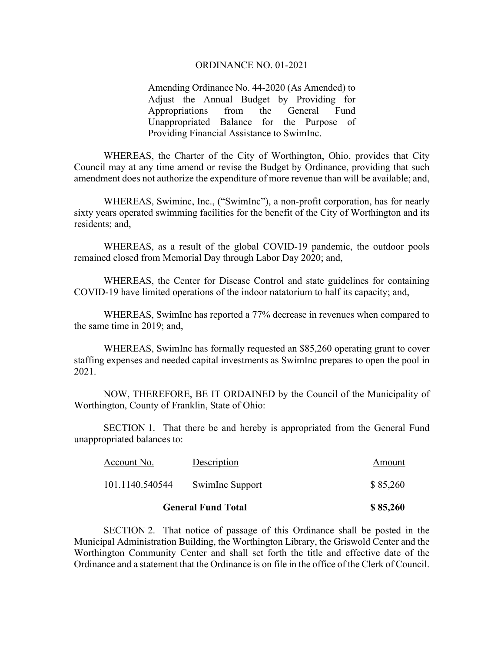## ORDINANCE NO. 01-2021

Amending Ordinance No. 44-2020 (As Amended) to Adjust the Annual Budget by Providing for Appropriations from the General Fund Unappropriated Balance for the Purpose of Providing Financial Assistance to SwimInc.

 WHEREAS, the Charter of the City of Worthington, Ohio, provides that City Council may at any time amend or revise the Budget by Ordinance, providing that such amendment does not authorize the expenditure of more revenue than will be available; and,

 WHEREAS, Swiminc, Inc., ("SwimInc"), a non-profit corporation, has for nearly sixty years operated swimming facilities for the benefit of the City of Worthington and its residents; and,

 WHEREAS, as a result of the global COVID-19 pandemic, the outdoor pools remained closed from Memorial Day through Labor Day 2020; and,

 WHEREAS, the Center for Disease Control and state guidelines for containing COVID-19 have limited operations of the indoor natatorium to half its capacity; and,

 WHEREAS, SwimInc has reported a 77% decrease in revenues when compared to the same time in 2019; and,

 WHEREAS, SwimInc has formally requested an \$85,260 operating grant to cover staffing expenses and needed capital investments as SwimInc prepares to open the pool in 2021.

 NOW, THEREFORE, BE IT ORDAINED by the Council of the Municipality of Worthington, County of Franklin, State of Ohio:

 SECTION 1. That there be and hereby is appropriated from the General Fund unappropriated balances to:

| <b>General Fund Total</b> |                 | \$85,260        |          |
|---------------------------|-----------------|-----------------|----------|
|                           | 101.1140.540544 | SwimInc Support | \$85,260 |
|                           | Account No.     | Description     | Amount   |

 SECTION 2. That notice of passage of this Ordinance shall be posted in the Municipal Administration Building, the Worthington Library, the Griswold Center and the Worthington Community Center and shall set forth the title and effective date of the Ordinance and a statement that the Ordinance is on file in the office of the Clerk of Council.